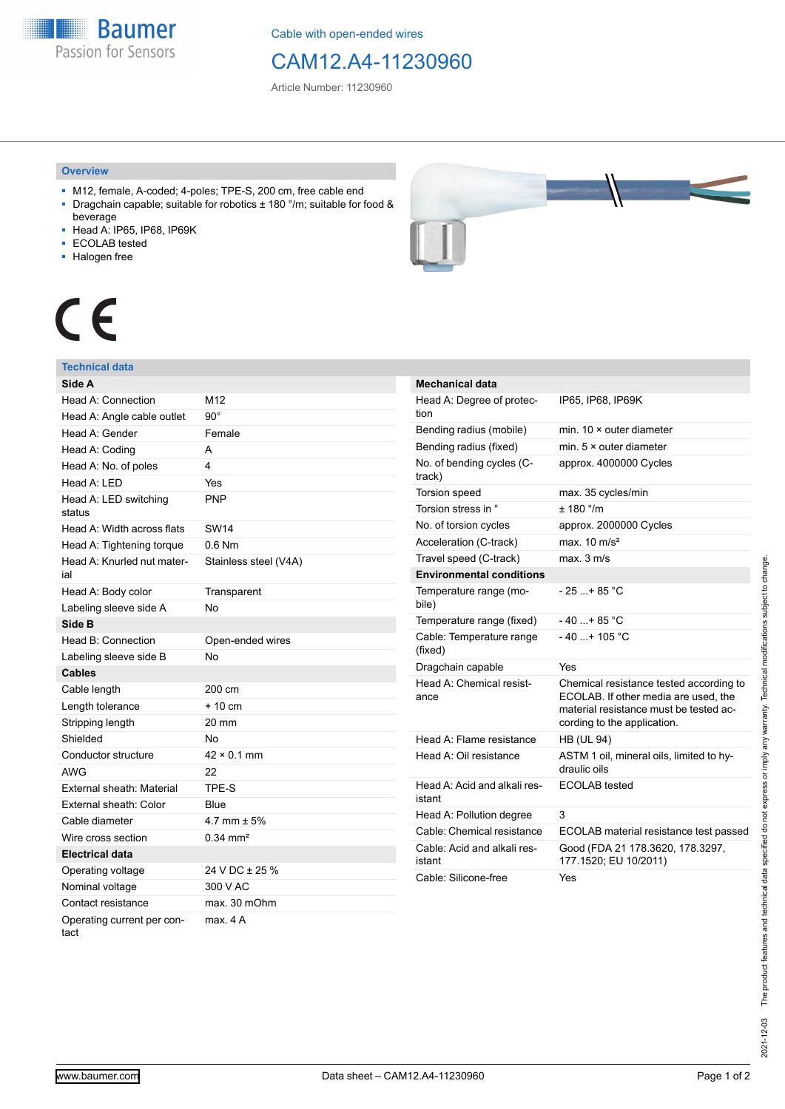**Baumer** Passion for Sensors

Cable with open-ended wires

## CAM12.A4-11230960

Article Number: 11230960

#### **Overview**

- M12, female, A-coded; 4-poles; TPE-S, 200 cm, free cable end ■ Dragchain capable; suitable for robotics ± 180 °/m; suitable for food &
- beverage
- Head A: IP65, IP68, IP69K
- ECOLAB tested
- Halogen free



# CE

#### **Technical data**

| Side A                             |                         |
|------------------------------------|-------------------------|
| Head A: Connection                 | M12                     |
| Head A: Angle cable outlet         | $90^{\circ}$            |
| Head A: Gender                     | Female                  |
| Head A: Coding                     | A                       |
| Head A: No. of poles               | $\overline{\mathbf{4}}$ |
| Head A: LED                        | Yes                     |
| Head A: LED switching<br>status    | <b>PNP</b>              |
| Head A: Width across flats         | <b>SW14</b>             |
| Head A: Tightening torque          | $0.6$ Nm                |
| Head A: Knurled nut mater-<br>ial  | Stainless steel (V4A)   |
| Head A: Body color                 | Transparent             |
| Labeling sleeve side A             | <b>No</b>               |
| Side B                             |                         |
| Head B: Connection                 | Open-ended wires        |
| Labeling sleeve side B             | No                      |
| <b>Cables</b>                      |                         |
| Cable length                       | 200 cm                  |
| Length tolerance                   | $+10cm$                 |
| Stripping length                   | 20 mm                   |
| Shielded                           | No                      |
| Conductor structure                | $42 \times 0.1$ mm      |
| <b>AWG</b>                         | 22                      |
| External sheath: Material          | TPE-S                   |
| External sheath: Color             | <b>Blue</b>             |
| Cable diameter                     | 4.7 mm $\pm$ 5%         |
| Wire cross section                 | $0.34 \, \text{mm}^2$   |
| Electrical data                    |                         |
| Operating voltage                  | 24 V DC ± 25 %          |
| Nominal voltage                    | 300 V AC                |
| Contact resistance                 | max. 30 mOhm            |
| Operating current per con-<br>tact | max. 4 A                |

| <b>Mechanical data</b>                 |                                                                                                                                                          |
|----------------------------------------|----------------------------------------------------------------------------------------------------------------------------------------------------------|
| Head A: Degree of protec-<br>tion      | IP65, IP68, IP69K                                                                                                                                        |
| Bending radius (mobile)                | min. $10 \times$ outer diameter                                                                                                                          |
| Bending radius (fixed)                 | min. $5 \times$ outer diameter                                                                                                                           |
| No. of bending cycles (C-<br>track)    | approx. 4000000 Cycles                                                                                                                                   |
| <b>Torsion speed</b>                   | max. 35 cycles/min                                                                                                                                       |
| Torsion stress in °                    | ± 180 °/m                                                                                                                                                |
| No. of torsion cycles                  | approx. 2000000 Cycles                                                                                                                                   |
| Acceleration (C-track)                 | max $10 \text{ m/s}^2$                                                                                                                                   |
| Travel speed (C-track)                 | max. 3 m/s                                                                                                                                               |
| <b>Environmental conditions</b>        |                                                                                                                                                          |
| Temperature range (mo-<br>bile)        | $-25+85 °C$                                                                                                                                              |
| Temperature range (fixed)              | - 40 + 85 °C                                                                                                                                             |
| Cable: Temperature range<br>(fixed)    | $-40+105$ °C                                                                                                                                             |
| Dragchain capable                      | Yes                                                                                                                                                      |
| Head A: Chemical resist-<br>ance       | Chemical resistance tested according to<br>ECOLAB. If other media are used, the<br>material resistance must be tested ac-<br>cording to the application. |
| Head A: Flame resistance               | <b>HB (UL 94)</b>                                                                                                                                        |
| Head A: Oil resistance                 | ASTM 1 oil, mineral oils, limited to hy-<br>draulic oils                                                                                                 |
| Head A: Acid and alkali res-<br>istant | <b>ECOLAB</b> tested                                                                                                                                     |
| Head A: Pollution degree               | 3                                                                                                                                                        |
| Cable: Chemical resistance             | ECOLAB material resistance test passed                                                                                                                   |
| Cable: Acid and alkali res-<br>istant  | Good (FDA 21 178.3620, 178.3297,<br>177.1520; EU 10/2011)                                                                                                |
| Cable: Silicone-free                   | Yes                                                                                                                                                      |